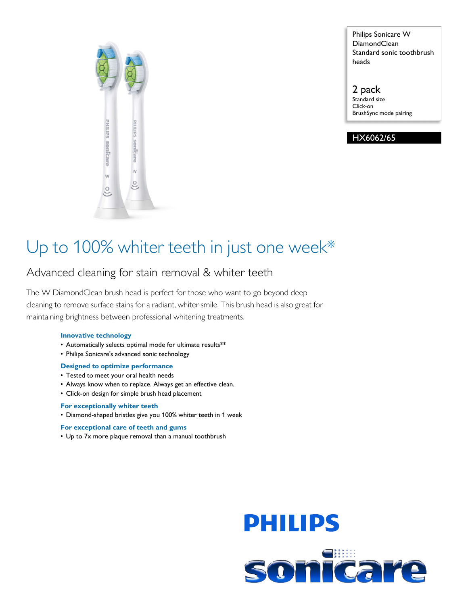

Philips Sonicare W DiamondClean Standard sonic toothbrush heads

2 pack Standard size Click-on BrushSync mode pairing

HX6062/65

### Up to 100% whiter teeth in just one week\*

### Advanced cleaning for stain removal & whiter teeth

The W DiamondClean brush head is perfect for those who want to go beyond deep cleaning to remove surface stains for a radiant, whiter smile. This brush head is also great for maintaining brightness between professional whitening treatments.

#### **Innovative technology**

- Automatically selects optimal mode for ultimate results\*\*
- Philips Sonicare's advanced sonic technology

#### **Designed to optimize performance**

- Tested to meet your oral health needs
- Always know when to replace. Always get an effective clean.
- Click-on design for simple brush head placement

#### **For exceptionally whiter teeth**

• Diamond-shaped bristles give you 100% whiter teeth in 1 week

#### **For exceptional care of teeth and gums**

• Up to 7x more plaque removal than a manual toothbrush

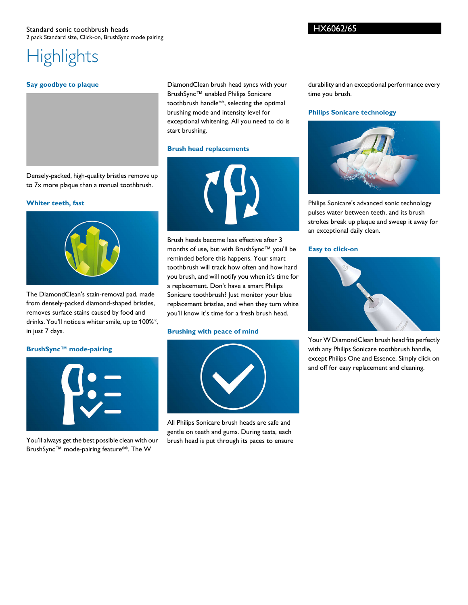#### HX6062/65

# **Highlights**

#### **Say goodbye to plaque**

DiamondClean brush head syncs with your BrushSync™ enabled Philips Sonicare toothbrush handle\*\*, selecting the optimal brushing mode and intensity level for exceptional whitening. All you need to do is start brushing.

#### **Brush head replacements**

Densely-packed, high-quality bristles remove up to 7x more plaque than a manual toothbrush.

#### **Whiter teeth, fast**



The DiamondClean's stain-removal pad, made from densely-packed diamond-shaped bristles, removes surface stains caused by food and drinks. You'll notice a whiter smile, up to 100%\*, in just 7 days.

#### **BrushSync™ mode-pairing**



You'll always get the best possible clean with our BrushSync™ mode-pairing feature\*\*. The W



Brush heads become less effective after 3 months of use, but with BrushSync™ you'll be reminded before this happens. Your smart toothbrush will track how often and how hard you brush, and will notify you when it's time for a replacement. Don't have a smart Philips Sonicare toothbrush? Just monitor your blue replacement bristles, and when they turn white you'll know it's time for a fresh brush head.

#### **Brushing with peace of mind**



All Philips Sonicare brush heads are safe and gentle on teeth and gums. During tests, each brush head is put through its paces to ensure

durability and an exceptional performance every time you brush.

#### **Philips Sonicare technology**



Philips Sonicare's advanced sonic technology pulses water between teeth, and its brush strokes break up plaque and sweep it away for an exceptional daily clean.

#### **Easy to click-on**



Your W DiamondClean brush head fits perfectly with any Philips Sonicare toothbrush handle, except Philips One and Essence. Simply click on and off for easy replacement and cleaning.